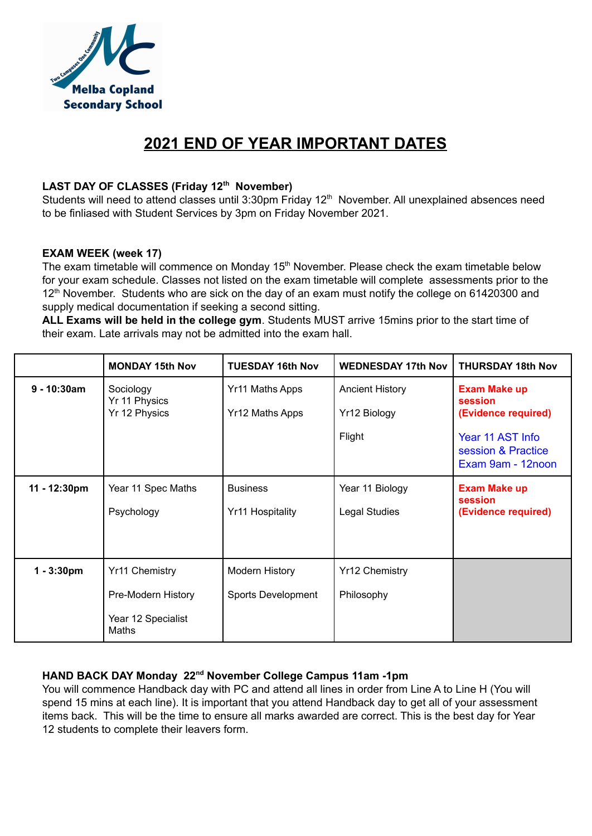

# **2021 END OF YEAR IMPORTANT DATES**

# **LAST DAY OF CLASSES (Friday 12 th November)**

Students will need to attend classes until 3:30pm Friday 12<sup>th</sup> November. All unexplained absences need to be finliased with Student Services by 3pm on Friday November 2021.

### **EXAM WEEK (week 17)**

The exam timetable will commence on Monday  $15<sup>th</sup>$  November. Please check the exam timetable below for your exam schedule. Classes not listed on the exam timetable will complete assessments prior to the 12<sup>th</sup> November. Students who are sick on the day of an exam must notify the college on 61420300 and supply medical documentation if seeking a second sitting.

**ALL Exams will be held in the college gym**. Students MUST arrive 15mins prior to the start time of their exam. Late arrivals may not be admitted into the exam hall.

|                | <b>MONDAY 15th Nov</b>      | <b>TUESDAY 16th Nov</b> | <b>WEDNESDAY 17th Nov</b> | <b>THURSDAY 18th Nov</b>                                    |
|----------------|-----------------------------|-------------------------|---------------------------|-------------------------------------------------------------|
| $9 - 10:30$ am | Sociology<br>Yr 11 Physics  | Yr11 Maths Apps         | <b>Ancient History</b>    | <b>Exam Make up</b><br>session                              |
|                | Yr 12 Physics               | Yr12 Maths Apps         | Yr12 Biology              | (Evidence required)                                         |
|                |                             |                         | Flight                    | Year 11 AST Info<br>session & Practice<br>Exam 9am - 12noon |
| 11 - 12:30pm   | Year 11 Spec Maths          | <b>Business</b>         | Year 11 Biology           | <b>Exam Make up</b>                                         |
|                | Psychology                  | Yr11 Hospitality        | <b>Legal Studies</b>      | session<br>(Evidence required)                              |
|                |                             |                         |                           |                                                             |
| $1 - 3:30pm$   | <b>Yr11 Chemistry</b>       | <b>Modern History</b>   | <b>Yr12 Chemistry</b>     |                                                             |
|                | Pre-Modern History          | Sports Development      | Philosophy                |                                                             |
|                | Year 12 Specialist<br>Maths |                         |                           |                                                             |

### **HAND BACK DAY Monday 22 nd November College Campus 11am -1pm**

You will commence Handback day with PC and attend all lines in order from Line A to Line H (You will spend 15 mins at each line). It is important that you attend Handback day to get all of your assessment items back. This will be the time to ensure all marks awarded are correct. This is the best day for Year 12 students to complete their leavers form.